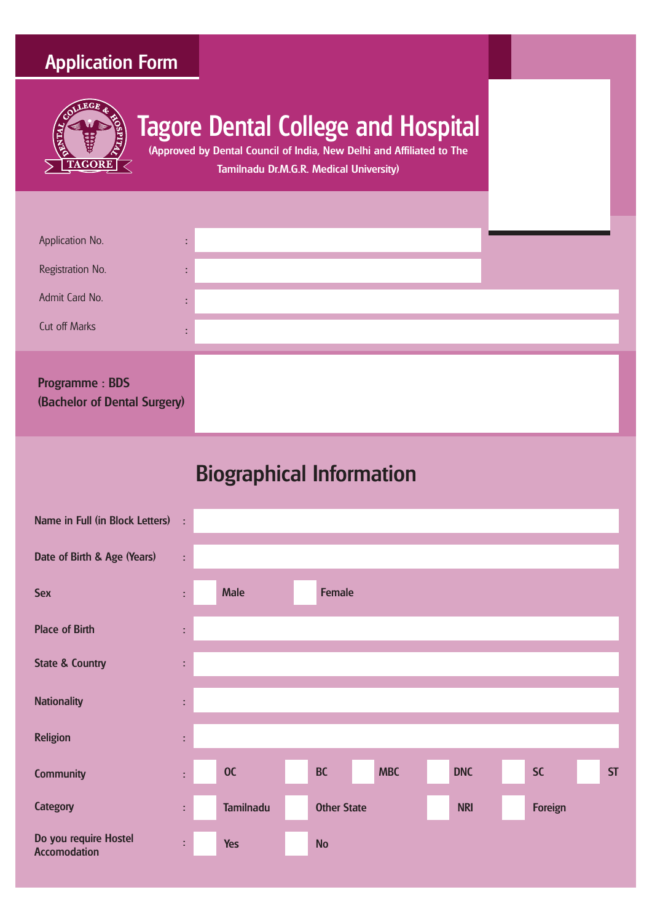### Application Form



# Tagore Dental College and Hospital

(Approved by Dental Council of India, New Delhi and Affiliated to The Tamilnadu Dr.M.G.R. Medical University)

| Application No.<br>Registration No.<br>Admit Card No.                  | ٠<br>٠<br>۰<br>٠<br>٠<br>÷. |
|------------------------------------------------------------------------|-----------------------------|
| Cut off Marks<br><b>Programme: BDS</b><br>(Bachelor of Dental Surgery) | ٠<br>٠                      |

## Biographical Information

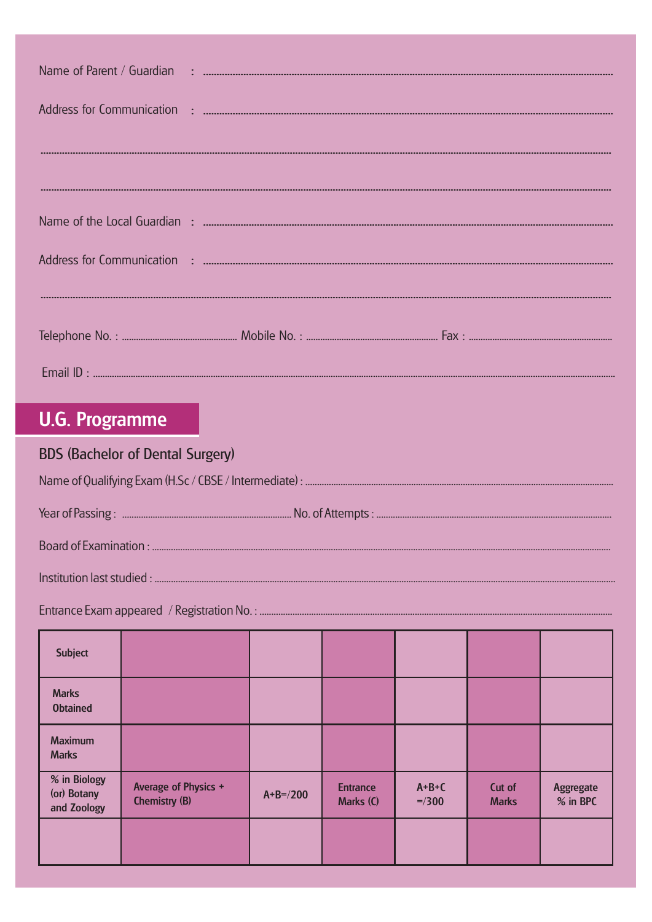### **U.G. Programme**

### **BDS (Bachelor of Dental Surgery)**

| <b>Subject</b>                             |                                                     |             |                              |                     |                        |                       |
|--------------------------------------------|-----------------------------------------------------|-------------|------------------------------|---------------------|------------------------|-----------------------|
| <b>Marks</b><br><b>Obtained</b>            |                                                     |             |                              |                     |                        |                       |
| <b>Maximum</b><br><b>Marks</b>             |                                                     |             |                              |                     |                        |                       |
| % in Biology<br>(or) Botany<br>and Zoology | <b>Average of Physics +</b><br><b>Chemistry (B)</b> | $A+B=$ /200 | <b>Entrance</b><br>Marks (C) | $A+B+C$<br>$= 7300$ | Cut of<br><b>Marks</b> | Aggregate<br>% in BPC |
|                                            |                                                     |             |                              |                     |                        |                       |